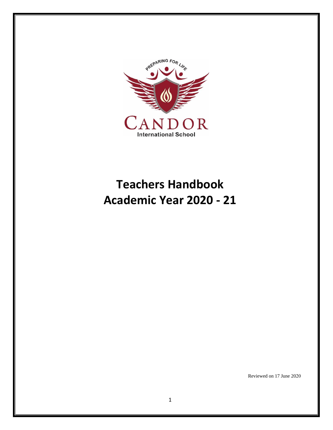

# **Teachers Handbook Academic Year 2020 - 21**

Reviewed on 17 June 2020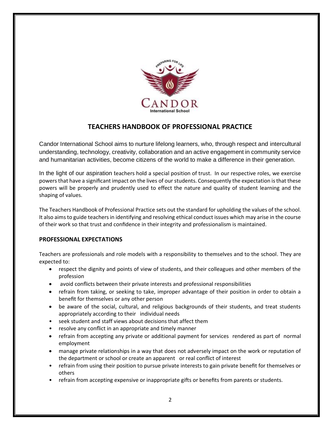

# **TEACHERS HANDBOOK OF PROFESSIONAL PRACTICE**

Candor International School aims to nurture lifelong learners, who, through respect and intercultural understanding, technology, creativity, collaboration and an active engagement in community service and humanitarian activities, become citizens of the world to make a difference in their generation.

In the light of our aspiration teachers hold a special position of trust. In our respective roles, we exercise powers that have a significant impact on the lives of our students. Consequently the expectation is that these powers will be properly and prudently used to effect the nature and quality of student learning and the shaping of values.

The Teachers Handbook of Professional Practice sets out the standard for upholding the values of the school. It also aims to guide teachers in identifying and resolving ethical conduct issues which may arise in the course of their work so that trust and confidence in their integrity and professionalism is maintained.

# **PROFESSIONAL EXPECTATIONS**

Teachers are professionals and role models with a responsibility to themselves and to the school. They are expected to:

- respect the dignity and points of view of students, and their colleagues and other members of the profession
- avoid conflicts between their private interests and professional responsibilities
- refrain from taking, or seeking to take, improper advantage of their position in order to obtain a benefit for themselves or any other person
- be aware of the social, cultural, and religious backgrounds of their students, and treat students appropriately according to their individual needs
- seek student and staff views about decisions that affect them
- resolve any conflict in an appropriate and timely manner
- refrain from accepting any private or additional payment for services rendered as part of normal employment
- manage private relationships in a way that does not adversely impact on the work or reputation of the department or school or create an apparent or real conflict of interest
- refrain from using their position to pursue private interests to gain private benefit for themselves or others
- refrain from accepting expensive or inappropriate gifts or benefits from parents or students.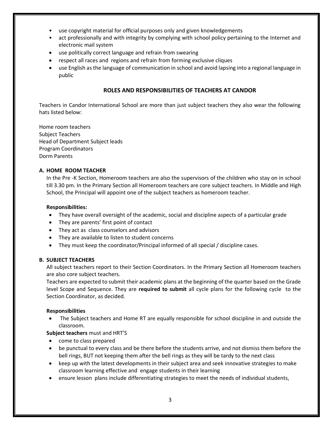- use copyright material for official purposes only and given knowledgements
- act professionally and with integrity by complying with school policy pertaining to the Internet and electronic mail system
- use politically correct language and refrain from swearing
- respect all races and regions and refrain from forming exclusive cliques
- use English as the language of communication in school and avoid lapsing into a regional language in public

#### **ROLES AND RESPONSIBILITIES OF TEACHERS AT CANDOR**

Teachers in Candor International School are more than just subject teachers they also wear the following hats listed below:

Home room teachers Subject Teachers Head of Department Subject leads Program Coordinators Dorm Parents

#### **A. HOME ROOM TEACHER**

In the Pre -K Section, Homeroom teachers are also the supervisors of the children who stay on in school till 3.30 pm. In the Primary Section all Homeroom teachers are core subject teachers. In Middle and High School, the Principal will appoint one of the subject teachers as homeroom teacher.

#### **Responsibilities:**

- They have overall oversight of the academic, social and discipline aspects of a particular grade
- They are parents' first point of contact
- They act as class counselors and advisors
- They are available to listen to student concerns
- They must keep the coordinator/Principal informed of all special / discipline cases.

#### **B. SUBJECT TEACHERS**

All subject teachers report to their Section Coordinators. In the Primary Section all Homeroom teachers are also core subject teachers.

Teachers are expected to submit their academic plans at the beginning of the quarter based on the Grade level Scope and Sequence. They are **required to submit** all cycle plans for the following cycle to the Section Coordinator, as decided.

#### **Responsibilities**

 The Subject teachers and Home RT are equally responsible for school discipline in and outside the classroom.

#### **Subject teachers** must and HRT'S

- come to class prepared
- be punctual to every class and be there before the students arrive, and not dismiss them before the bell rings, BUT not keeping them after the bell rings as they will be tardy to the next class
- keep up with the latest developments in their subject area and seek innovative strategies to make classroom learning effective and engage students in their learning
- ensure lesson plans include differentiating strategies to meet the needs of individual students,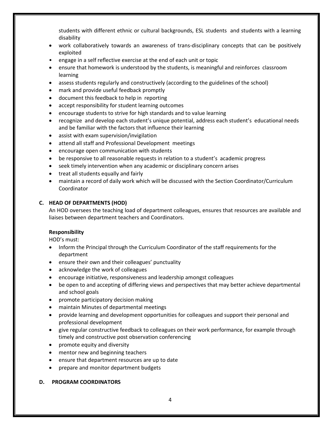students with different ethnic or cultural backgrounds, ESL students and students with a learning disability

- work collaboratively towards an awareness of trans-disciplinary concepts that can be positively exploited
- engage in a self reflective exercise at the end of each unit or topic
- ensure that homework is understood by the students, is meaningful and reinforces classroom learning
- assess students regularly and constructively (according to the guidelines of the school)
- mark and provide useful feedback promptly
- document this feedback to help in reporting
- accept responsibility for student learning outcomes
- encourage students to strive for high standards and to value learning
- recognize and develop each student's unique potential, address each student's educational needs and be familiar with the factors that influence their learning
- assist with exam supervision/invigilation
- attend all staff and Professional Development meetings
- encourage open communication with students
- be responsive to all reasonable requests in relation to a student's academic progress
- seek timely intervention when any academic or disciplinary concern arises
- treat all students equally and fairly
- maintain a record of daily work which will be discussed with the Section Coordinator/Curriculum Coordinator

#### **C. HEAD OF DEPARTMENTS (HOD)**

An HOD oversees the teaching load of department colleagues, ensures that resources are available and liaises between department teachers and Coordinators.

#### **Responsibility**

HOD's must:

- Inform the Principal through the Curriculum Coordinator of the staff requirements for the department
- ensure their own and their colleagues' punctuality
- acknowledge the work of colleagues
- encourage initiative, responsiveness and leadership amongst colleagues
- be open to and accepting of differing views and perspectives that may better achieve departmental and school goals
- promote participatory decision making
- maintain Minutes of departmental meetings
- provide learning and development opportunities for colleagues and support their personal and professional development
- give regular constructive feedback to colleagues on their work performance, for example through timely and constructive post observation conferencing
- promote equity and diversity
- mentor new and beginning teachers
- ensure that department resources are up to date
- prepare and monitor department budgets

#### **D. PROGRAM COORDINATORS**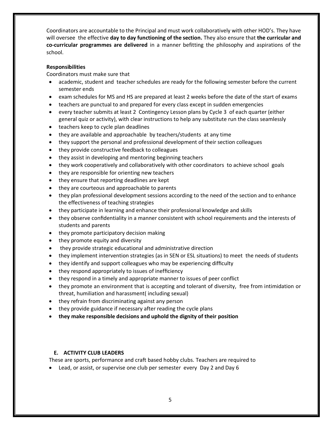Coordinators are accountable to the Principal and must work collaboratively with other HOD's. They have will oversee the effective **day to day functioning of the section.** They also ensure that **the curricular and co-curricular programmes are delivered** in a manner befitting the philosophy and aspirations of the school.

#### **Responsibilities**

Coordinators must make sure that

- academic, student and teacher schedules are ready for the following semester before the current semester ends
- exam schedules for MS and HS are prepared at least 2 weeks before the date of the start of exams
- teachers are punctual to and prepared for every class except in sudden emergencies
- every teacher submits at least 2 Contingency Lesson plans by Cycle 3 of each quarter (either general quiz or activity), with clear instructions to help any substitute run the class seamlessly
- teachers keep to cycle plan deadlines
- they are available and approachable by teachers/students at any time
- they support the personal and professional development of their section colleagues
- they provide constructive feedback to colleagues
- they assist in developing and mentoring beginning teachers
- they work cooperatively and collaboratively with other coordinators to achieve school goals
- they are responsible for orienting new teachers
- they ensure that reporting deadlines are kept
- they are courteous and approachable to parents
- they plan professional development sessions according to the need of the section and to enhance the effectiveness of teaching strategies
- they participate in learning and enhance their professional knowledge and skills
- they observe confidentiality in a manner consistent with school requirements and the interests of students and parents
- they promote participatory decision making
- they promote equity and diversity
- they provide strategic educational and administrative direction
- they implement intervention strategies (as in SEN or ESL situations) to meet the needs of students
- they identify and support colleagues who may be experiencing difficulty
- they respond appropriately to issues of inefficiency
- they respond in a timely and appropriate manner to issues of peer conflict
- they promote an environment that is accepting and tolerant of diversity, free from intimidation or threat, humiliation and harassment( including sexual)
- they refrain from discriminating against any person
- they provide guidance if necessary after reading the cycle plans
- **they make responsible decisions and uphold the dignity of their position**

# **E. ACTIVITY CLUB LEADERS**

These are sports, performance and craft based hobby clubs. Teachers are required to

Lead, or assist, or supervise one club per semester every Day 2 and Day 6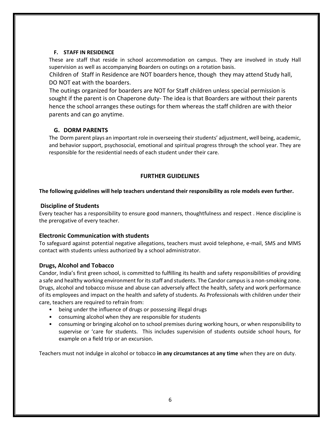#### **F. STAFF IN RESIDENCE**

These are staff that reside in school accommodation on campus. They are involved in study Hall supervision as well as accompanying Boarders on outings on a rotation basis.

Children of Staff in Residence are NOT boarders hence, though they may attend Study hall, DO NOT eat with the boarders.

The outings organized for boarders are NOT for Staff children unless special permission is sought if the parent is on Chaperone duty- The idea is that Boarders are without their parents hence the school arranges these outings for them whereas the staff children are with theior parents and can go anytime.

# **G. DORM PARENTS**

The Dorm parent plays an important role in overseeing their students' adjustment, well being, academic, and behavior support, psychosocial, emotional and spiritual progress through the school year. They are responsible for the residential needs of each student under their care.

# **FURTHER GUIDELINES**

# **The following guidelines will help teachers understand their responsibility as role models even further.**

# **Discipline of Students**

Every teacher has a responsibility to ensure good manners, thoughtfulness and respect . Hence discipline is the prerogative of every teacher.

# **Electronic Communication with students**

To safeguard against potential negative allegations, teachers must avoid telephone, e-mail, SMS and MMS contact with students unless authorized by a school administrator.

# **Drugs, Alcohol and Tobacco**

Candor, India's first green school, is committed to fulfilling its health and safety responsibilities of providing a safe and healthy working environment for its staff and students. The Candor campus is a non-smoking zone. Drugs, alcohol and tobacco misuse and abuse can adversely affect the health, safety and work performance of its employees and impact on the health and safety of students. As Professionals with children under their care, teachers are required to refrain from:

- being under the influence of drugs or possessing illegal drugs
- consuming alcohol when they are responsible for students
- consuming or bringing alcohol on to school premises during working hours, or when responsibility to supervise or 'care for students.This includes supervision of students outside school hours, for example on a field trip or an excursion.

Teachers must not indulge in alcohol or tobacco **in any circumstances at any time** when they are on duty.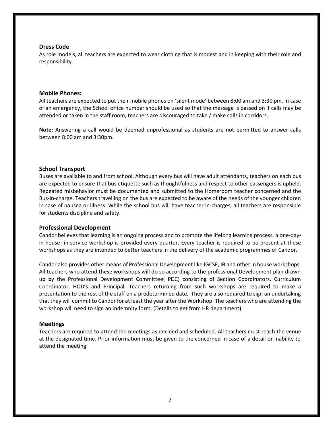#### **Dress Code**

As role models, all teachers are expected to wear clothing that is modest and in keeping with their role and responsibility.

#### **Mobile Phones:**

All teachers are expected to put their mobile phones on 'silent mode' between 8:00 am and 3:30 pm. In case of an emergency, the School office number should be used so that the message is passed on if calls may be attended or taken in the staff room, teachers are discouraged to take / make calls in corridors.

**Note:** Answering a call would be deemed unprofessional as students are not permitted to answer calls between 8:00 am and 3:30pm.

#### **School Transport**

Buses are available to and from school. Although every bus will have adult attendants, teachers on each bus are expected to ensure that bus etiquette such as thoughtfulness and respect to other passengers is upheld. Repeated misbehavior must be documented and submitted to the Homeroom teacher concerned and the Bus-in-charge. Teachers travelling on the bus are expected to be aware of the needs of the younger children in case of nausea or illness. While the school bus will have teacher in-charges, all teachers are responsible for students discipline and safety.

#### **Professional Development**

Candor believes that learning is an ongoing process and to promote the lifelong learning process, a one-dayin-house- in-service workshop is provided every quarter. Every teacher is required to be present at these workshops as they are intended to better teachers in the delivery of the academic programmes of Candor.

Candor also provides other means of Professional Development like IGCSE, IB and other in house workshops. All teachers who attend these workshops will do so according to the professional Development plan drawn up by the Professional Development Committee( PDC) consisting of Section Coordinators, Curriculum Coordinator, HOD's and Principal. Teachers returning from such workshops are required to make a presentation to the rest of the staff on a predetermined date. They are also required to sign an undertaking that they will commit to Candor for at least the year after the Workshop. The teachers who are attending the workshop will need to sign an indemnity form. (Details to get from HR department).

#### **Meetings**

Teachers are required to attend the meetings as decided and scheduled. All teachers must reach the venue at the designated time. Prior information must be given to the concerned in case of a detail or inability to attend the meeting.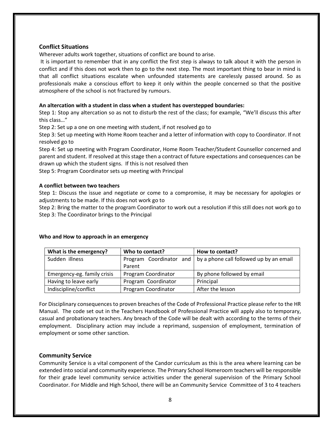#### **Conflict Situations**

Wherever adults work together, situations of conflict are bound to arise.

It is important to remember that in any conflict the first step is always to talk about it with the person in conflict and if this does not work then to go to the next step. The most important thing to bear in mind is that all conflict situations escalate when unfounded statements are carelessly passed around. So as professionals make a conscious effort to keep it only within the people concerned so that the positive atmosphere of the school is not fractured by rumours.

#### **An altercation with a student in class when a student has overstepped boundaries:**

Step 1: Stop any altercation so as not to disturb the rest of the class; for example, "We'll discuss this after this class…"

Step 2: Set up a one on one meeting with student, if not resolved go to

Step 3: Set up meeting with Home Room teacher and a letter of information with copy to Coordinator. If not resolved go to

Step 4: Set up meeting with Program Coordinator, Home Room Teacher/Student Counsellor concerned and parent and student. If resolved at this stage then a contract of future expectations and consequences can be drawn up which the student signs. If this is not resolved then

Step 5: Program Coordinator sets up meeting with Principal

#### **A conflict between two teachers**

Step 1: Discuss the issue and negotiate or come to a compromise, it may be necessary for apologies or adjustments to be made. If this does not work go to

Step 2: Bring the matter to the program Coordinator to work out a resolution if this still does not work go to Step 3: The Coordinator brings to the Principal

#### **What is the emergency? Who to contact? How to contact?** Sudden illness **Program Coordinator** and Parent by a phone call followed up by an email Emergency-eg. family crisis  $\vert$  Program Coordinator  $\vert$  By phone followed by email Having to leave early **Program Coordinator** | Principal Indiscipline/conflict | Program Coordinator | After the lesson

#### **Who and How to approach in an emergency**

For Disciplinary consequences to proven breaches of the Code of Professional Practice please refer to the HR Manual. The code set out in the Teachers Handbook of Professional Practice will apply also to temporary, casual and probationary teachers. Any breach of the Code will be dealt with according to the terms of their employment. Disciplinary action may include a reprimand, suspension of employment, termination of employment or some other sanction.

#### **Community Service**

Community Service is a vital component of the Candor curriculum as this is the area where learning can be extended into social and community experience. The Primary School Homeroom teachers will be responsible for their grade level community service activities under the general supervision of the Primary School Coordinator. For Middle and High School, there will be an Community Service Committee of 3 to 4 teachers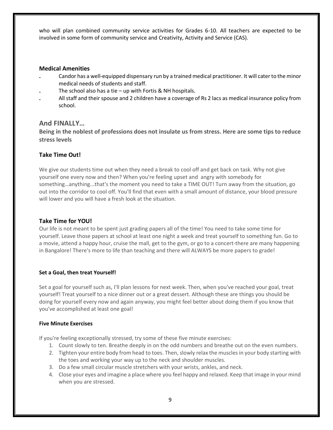who will plan combined community service activities for Grades 6-10. All teachers are expected to be involved in some form of community service and Creativity, Activity and Service (CAS).

#### **Medical Amenities**

- **.** Candor has a well-equipped dispensary run by a trained medical practitioner. It will cater to the minor medical needs of students and staff.
- **.** The school also has a tie up with Fortis & NH hospitals.
- **.** All staff and their spouse and 2 children have a coverage of Rs 2 lacs as medical insurance policy from school.

# **And FINALLY…**

**Being in the noblest of professions does not insulate us from stress. Here are some tips to reduce stress levels**

# **Take Time Out!**

We give our students time out when they need a break to cool off and get back on task. Why not give yourself one every now and then? When you're feeling upset and angry with somebody for something…anything...that's the moment you need to take a TIME OUT! Turn away from the situation, go out into the corridor to cool off. You'll find that even with a small amount of distance, your blood pressure will lower and you will have a fresh look at the situation.

# **Take Time for YOU!**

Our life is not meant to be spent just grading papers all of the time! You need to take some time for yourself. Leave those papers at school at least one night a week and treat yourself to something fun. Go to a movie, attend a happy hour, cruise the mall, get to the gym, or go to a concert-there are many happening in Bangalore! There's more to life than teaching and there will ALWAYS be more papers to grade!

# **Set a Goal, then treat Yourself!**

Set a goal for yourself such as, I'll plan lessons for next week. Then, when you've reached your goal, treat yourself! Treat yourself to a nice dinner out or a great dessert. Although these are things you should be doing for yourself every now and again anyway, you might feel better about doing them if you know that you've accomplished at least one goal!

# **Five Minute Exercises**

If you're feeling exceptionally stressed, try some of these five minute exercises:

- 1. Count slowly to ten. Breathe deeply in on the odd numbers and breathe out on the even numbers.
- 2. Tighten your entire body from head to toes. Then, slowly relax the muscles in your body starting with the toes and working your way up to the neck and shoulder muscles.
- 3. Do a few small circular muscle stretchers with your wrists, ankles, and neck.
- 4. Close your eyes and imagine a place where you feel happy and relaxed. Keep that image in your mind when you are stressed.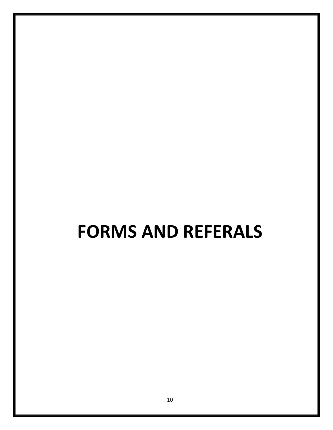# **FORMS AND REFERALS**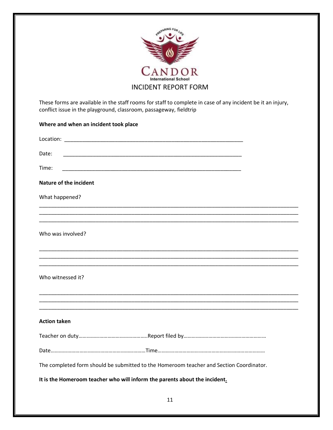

These forms are available in the staff rooms for staff to complete in case of any incident be it an injury, conflict issue in the playground, classroom, passageway, fieldtrip

| Where and when an incident took place                                                   |
|-----------------------------------------------------------------------------------------|
|                                                                                         |
| Date:                                                                                   |
| Time:<br><u> 1989 - Johann John Stone, mars eta biztanleria (h. 1989).</u>              |
| Nature of the incident                                                                  |
| What happened?                                                                          |
|                                                                                         |
|                                                                                         |
| Who was involved?                                                                       |
|                                                                                         |
| Who witnessed it?                                                                       |
|                                                                                         |
| <b>Action taken</b>                                                                     |
|                                                                                         |
|                                                                                         |
| The completed form should be submitted to the Homeroom teacher and Section Coordinator. |
| It is the Homeroom teacher who will inform the parents about the incident.              |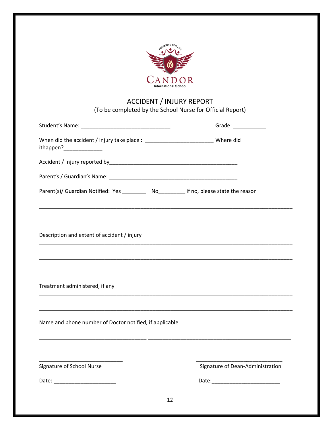| International Schoo                                                                              |                                                                                                                      |
|--------------------------------------------------------------------------------------------------|----------------------------------------------------------------------------------------------------------------------|
| <b>ACCIDENT / INJURY REPORT</b><br>(To be completed by the School Nurse for Official Report)     |                                                                                                                      |
|                                                                                                  | Grade: ____________                                                                                                  |
| When did the accident / injury take place : _____________________________ Where did<br>ithappen? |                                                                                                                      |
|                                                                                                  |                                                                                                                      |
|                                                                                                  |                                                                                                                      |
| Parent(s)/ Guardian Notified: Yes __________ No__________ if no, please state the reason         |                                                                                                                      |
| Description and extent of accident / injury                                                      |                                                                                                                      |
| Treatment administered, if any                                                                   |                                                                                                                      |
|                                                                                                  |                                                                                                                      |
| Name and phone number of Doctor notified, if applicable                                          | <u> 1989 - Johann John Harry Harry Harry Harry Harry Harry Harry Harry Harry Harry Harry Harry Harry Harry Harry</u> |
| Signature of School Nurse                                                                        | Signature of Dean-Administration                                                                                     |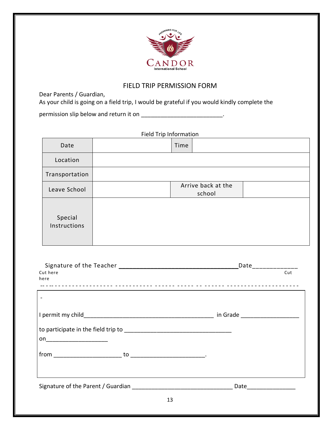

# FIELD TRIP PERMISSION FORM

Dear Parents / Guardian,

As your child is going on a field trip, I would be grateful if you would kindly complete the

permission slip below and return it on \_\_\_\_\_\_\_\_\_\_\_\_\_\_\_\_\_\_\_\_\_\_\_\_\_\_\_\_\_.

|                               | <b>Field Trip Information</b> |
|-------------------------------|-------------------------------|
| Date                          | Time                          |
| Location                      |                               |
| Transportation                |                               |
| Leave School                  | Arrive back at the<br>school  |
| Special<br>Instructions       |                               |
| Cut here<br>here              | $\overline{\mathrm{Cut}}$     |
| $\blacksquare$                |                               |
|                               |                               |
| on___________________________ |                               |
| from<br>to                    |                               |

Signature of the Parent / Guardian \_\_\_\_\_\_\_\_\_\_\_\_\_\_\_\_\_\_\_\_\_\_\_\_\_\_\_\_\_\_\_ Date\_\_\_\_\_\_\_\_\_\_\_\_\_\_\_

13

<u> 1989 - Johann Barbara, martxa alemaniar a</u>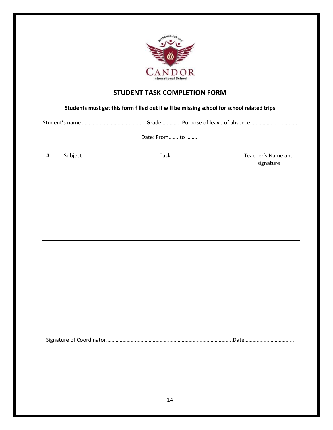

# **STUDENT TASK COMPLETION FORM**

# **Students must get this form filled out if will be missing school for school related trips**

Student's name ……………………………………… Grade……………Purpose of leave of absence…………………………….

# Date: From……..to ………

| $\#$ | Subject | Task | Teacher's Name and<br>signature |
|------|---------|------|---------------------------------|
|      |         |      |                                 |
|      |         |      |                                 |
|      |         |      |                                 |
|      |         |      |                                 |
|      |         |      |                                 |
|      |         |      |                                 |

Signature of Coordinator………………………………………………………………………………..Date………………………………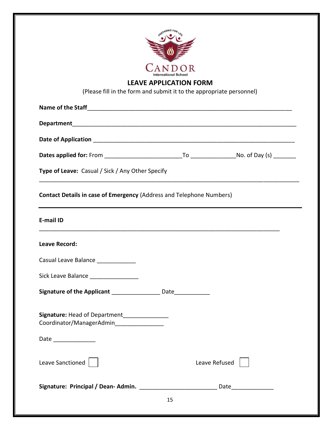|                                                                                                                                                                                                         | <b>LEAVE APPLICATION FORM</b><br>(Please fill in the form and submit it to the appropriate personnel) |
|---------------------------------------------------------------------------------------------------------------------------------------------------------------------------------------------------------|-------------------------------------------------------------------------------------------------------|
|                                                                                                                                                                                                         |                                                                                                       |
|                                                                                                                                                                                                         |                                                                                                       |
|                                                                                                                                                                                                         |                                                                                                       |
|                                                                                                                                                                                                         |                                                                                                       |
|                                                                                                                                                                                                         |                                                                                                       |
| Type of Leave: Casual / Sick / Any Other Specify                                                                                                                                                        |                                                                                                       |
| <b>E-mail ID</b>                                                                                                                                                                                        |                                                                                                       |
|                                                                                                                                                                                                         |                                                                                                       |
| <b>Leave Record:</b>                                                                                                                                                                                    |                                                                                                       |
| Casual Leave Balance _                                                                                                                                                                                  |                                                                                                       |
|                                                                                                                                                                                                         |                                                                                                       |
| Sick Leave Balance __________________<br>Signature of the Applicant _____________________ Date______________<br>Signature: Head of Department_______________<br>Coordinator/ManagerAdmin_______________ |                                                                                                       |
| Date _______________                                                                                                                                                                                    |                                                                                                       |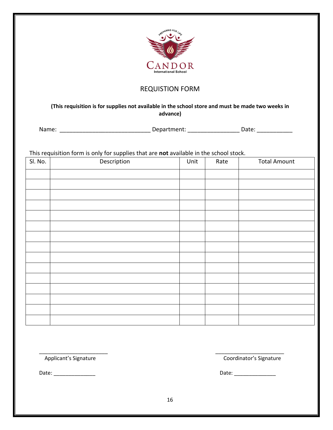

# REQUISTION FORM

**(This requisition is for supplies not available in the school store and must be made two weeks in advance)**

Name: \_\_\_\_\_\_\_\_\_\_\_\_\_\_\_\_\_\_\_\_\_\_\_\_\_\_\_\_ Department: \_\_\_\_\_\_\_\_\_\_\_\_\_\_\_\_ Date: \_\_\_\_\_\_\_\_\_\_\_

This requisition form is only for supplies that are **not** available in the school stock.

| Sl. No. | Description | Unit | Rate | <b>Total Amount</b> |
|---------|-------------|------|------|---------------------|
|         |             |      |      |                     |
|         |             |      |      |                     |
|         |             |      |      |                     |
|         |             |      |      |                     |
|         |             |      |      |                     |
|         |             |      |      |                     |
|         |             |      |      |                     |
|         |             |      |      |                     |
|         |             |      |      |                     |
|         |             |      |      |                     |
|         |             |      |      |                     |
|         |             |      |      |                     |
|         |             |      |      |                     |
|         |             |      |      |                     |
|         |             |      |      |                     |

Applicant's Signature Coordinator's Signature

Date: \_\_\_\_\_\_\_\_\_\_\_\_\_\_ Date: \_\_\_\_\_\_\_\_\_\_\_\_\_\_

\_\_\_\_\_\_\_\_\_\_\_\_\_\_\_\_\_\_\_\_\_\_\_ \_\_\_\_\_\_\_\_\_\_\_\_\_\_\_\_\_\_\_\_\_\_\_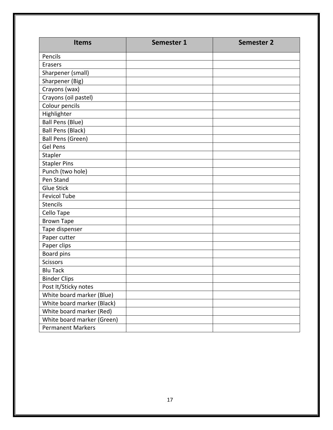| <b>Items</b>               | Semester 1 | <b>Semester 2</b> |
|----------------------------|------------|-------------------|
| Pencils                    |            |                   |
| Erasers                    |            |                   |
| Sharpener (small)          |            |                   |
| Sharpener (Big)            |            |                   |
| Crayons (wax)              |            |                   |
| Crayons (oil pastel)       |            |                   |
| Colour pencils             |            |                   |
| Highlighter                |            |                   |
| <b>Ball Pens (Blue)</b>    |            |                   |
| <b>Ball Pens (Black)</b>   |            |                   |
| <b>Ball Pens (Green)</b>   |            |                   |
| <b>Gel Pens</b>            |            |                   |
| Stapler                    |            |                   |
| <b>Stapler Pins</b>        |            |                   |
| Punch (two hole)           |            |                   |
| Pen Stand                  |            |                   |
| <b>Glue Stick</b>          |            |                   |
| <b>Fevicol Tube</b>        |            |                   |
| <b>Stencils</b>            |            |                   |
| Cello Tape                 |            |                   |
| <b>Brown Tape</b>          |            |                   |
| Tape dispenser             |            |                   |
| Paper cutter               |            |                   |
| Paper clips                |            |                   |
| Board pins                 |            |                   |
| <b>Scissors</b>            |            |                   |
| <b>Blu Tack</b>            |            |                   |
| <b>Binder Clips</b>        |            |                   |
| Post It/Sticky notes       |            |                   |
| White board marker (Blue)  |            |                   |
| White board marker (Black) |            |                   |
| White board marker (Red)   |            |                   |
| White board marker (Green) |            |                   |
| <b>Permanent Markers</b>   |            |                   |